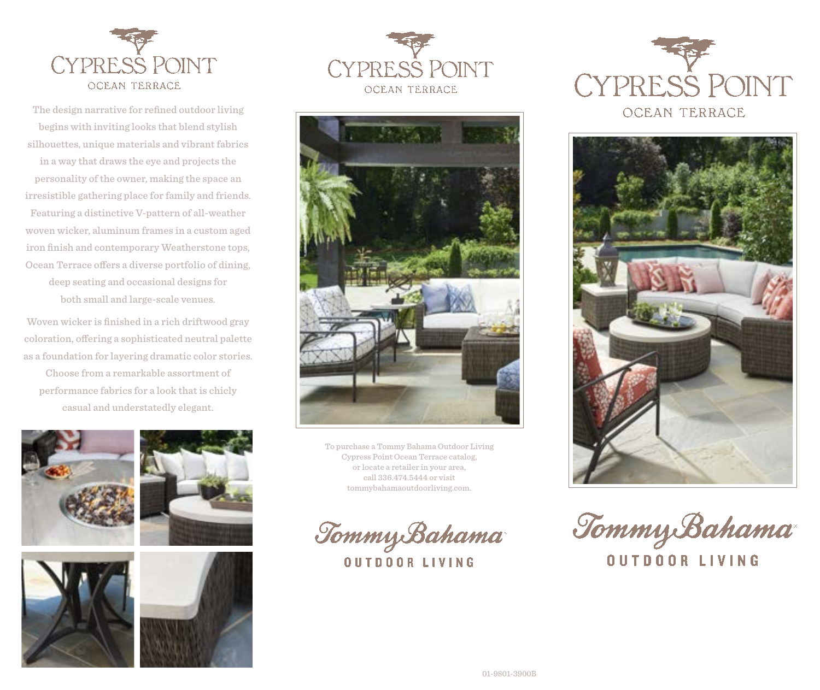

The design narrative for refined outdoor living begins with inviting looks that blend stylish silhouettes, unique materials and vibrant fabrics in a way that draws the eye and projects the personality of the owner, making the space an irresistible gathering place for family and friends. Featuring a distinctive V-pattern of all-weather woven wicker, aluminum frames in a custom aged iron finish and contemporary Weatherstone tops, Ocean Terrace offers a diverse portfolio of dining, deep seating and occasional designs for both small and large-scale venues.

Woven wicker is finished in a rich driftwood gray coloration, offering a sophisticated neutral palette as a foundation for layering dramatic color stories. Choose from a remarkable assortment of performance fabrics for a look that is chicly casual and understatedly elegant.











To purchase a Tommy Bahama Outdoor Living Cypress Point Ocean Terrace catalog, or locate a retailer in your area, call 336.474.5444 or visit tommybahamaoutdoorliving.com.

Tommy Bahama **OUTDOOR LIVING** 





Tommy Bahama **QUIDOOR LIVING**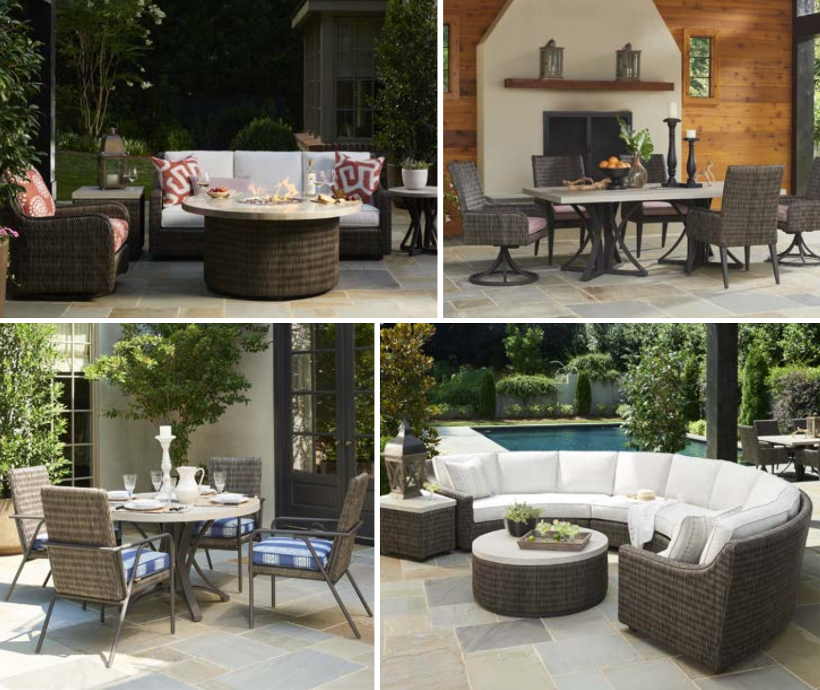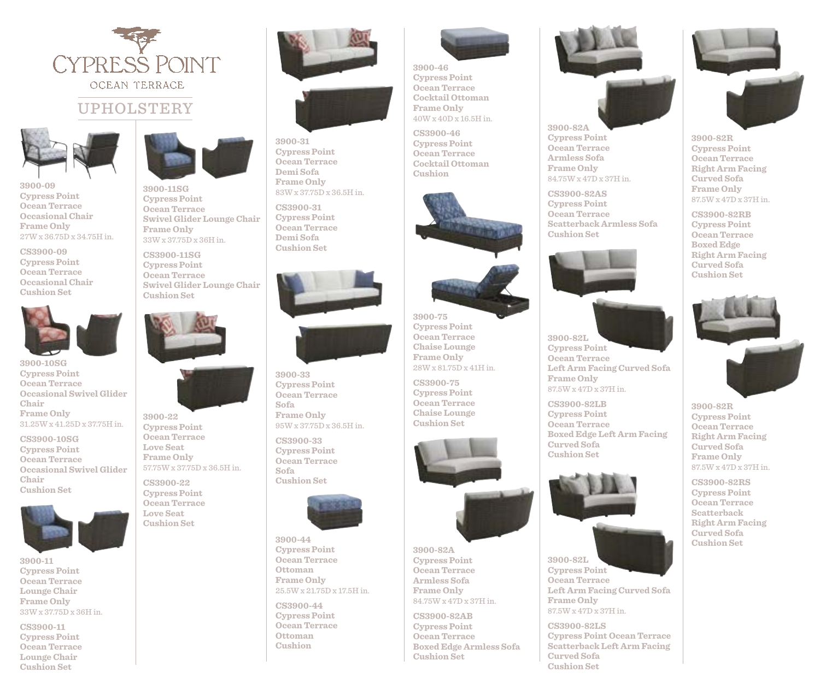

## UPHOLSTERY





**3900-09 Cypress Point Ocean Terrace Occasional Chair Frame Only**  27W x 36.75D x 34.75H in.

**CS3900-09 Cypress Point Ocean Terrace Occasional Chair Cushion Set**



**3900-10SG Cypress Point Ocean Terrace Occasional Swivel Glider Chair Frame Only** 31.25W x 41.25D x 37.75H in.

**CS3900-10SG Cypress Point Ocean Terrace Occasional Swivel Glider Chair Cushion Set**



**3900-11 Cypress Point Ocean Terrace Lounge Chair Frame Only** 33W x 37.75D x 36H in.

**CS3900-11 Cypress Point Ocean Terrace Lounge Chair Cushion Set**



**3900-11SG Cypress Point Ocean Terrace Swivel Glider Lounge Chair Frame Only** 33W x 37.75D x 36H in.

**CS3900-11SG Cypress Point Ocean Terrace Swivel Glider Lounge Chair Cushion Set**



**3900-22 Cypress Point** 

**Ocean Terrace Love Seat Frame Only** 57.75W x 37.75D x 36.5H in.

**CS3900-22 Cypress Point Ocean Terrace Love Seat Cushion Set** 





**3900-31 Cypress Point Ocean Terrace Demi Sofa Frame Only** 83W x 37.75D x 36.5H in.

**CS3900-31 Cypress Point Ocean Terrace Demi Sofa Cushion Set** 





**3900-33 Cypress Point Ocean Terrace Sofa Frame Only** 95W x 37.75D x 36.5H in.

**CS3900-33 Cypress Point Ocean Terrace Sofa Cushion Set** 



**3900-44 Cypress Point Ocean Terrace Ottoman Frame Only** 25.5W x 21.75D x 17.5H in.

**CS3900-44 Cypress Point Ocean Terrace Ottoman Cushion**



**3900-46 Cypress Point Ocean Terrace Cocktail Ottoman Frame Only** 40W x 40D x 16.5H in.

**CS3900-46 Cypress Point Ocean Terrace Cocktail Ottoman Cushion**





**3900-75 Cypress Point Ocean Terrace Chaise Lounge Frame Only** 28W x 81.75D x 41H in.

**CS3900-75 Cypress Point Ocean Terrace Chaise Lounge Cushion Set**





**3900-82A Cypress Point Ocean Terrace Armless Sofa Frame Only** 84.75W x 47D x 37H in.

**CS3900-82AB Cypress Point Ocean Terrace Boxed Edge Armless Sofa Cushion Set**



**3900-82A Cypress Point Ocean Terrace Armless Sofa Frame Only** 84.75W x 47D x 37H in.

**CS3900-82AS Cypress Point Ocean Terrace Scatterback Armless Sofa Cushion Set**



**3900-82L Cypress Point Ocean Terrace Left Arm Facing Curved Sofa Frame Only** 87.5W x 47D x 37H in.

**CS3900-82LB Cypress Point Ocean Terrace Boxed Edge Left Arm Facing Curved Sofa Cushion Set**



**3900-82L Cypress Point Ocean Terrace Left Arm Facing Curved Sofa Frame Only** 87.5W x 47D x 37H in.

**CS3900-82LS Cypress Point Ocean Terrace Scatterback Left Arm Facing Curved Sofa Cushion Set**



**3900-82R Cypress Point Ocean Terrace Right Arm Facing Curved Sofa Frame Only** 87.5W x 47D x 37H in.

**CS3900-82RB Cypress Point Ocean Terrace Boxed Edge Right Arm Facing Curved Sofa Cushion Set**



**3900-82R Cypress Point Ocean Terrace Right Arm Facing Curved Sofa Frame Only** 87.5W x 47D x 37H in.

**CS3900-82RS Cypress Point Ocean Terrace Scatterback Right Arm Facing Curved Sofa Cushion Set**